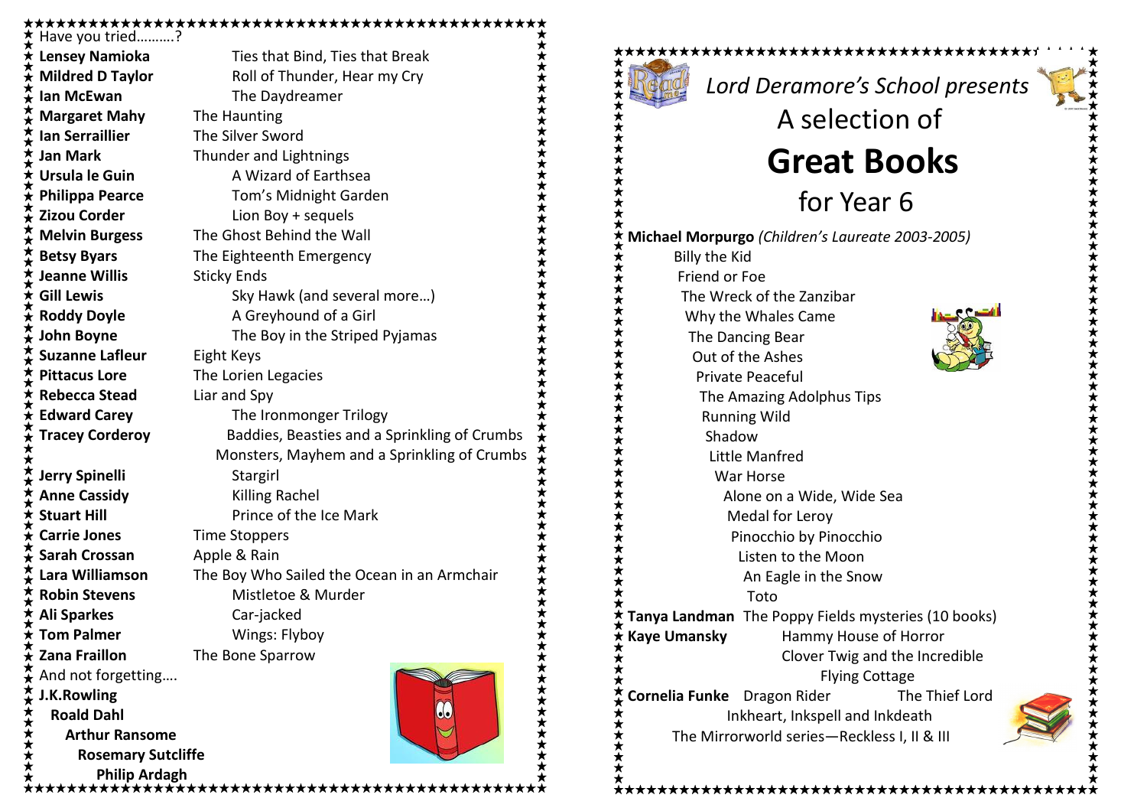## 

Have you tried……….? **Ian McEwan** The Daydreamer Margaret Mahy The Haunting **Ian Serraillier** The Silver Sword Jan Mark Thunder and Lightnings Ursula le Guin A Wizard of Earthsea **Philippa Pearce** Tom's Midnight Garden **Zizou Corder Lion Boy + sequels** Melvin Burgess The Ghost Behind the Wall Betsy Byars The Eighteenth Emergency Jeanne Willis **Sticky Ends** Roddy Doyle **A** Greyhound of a Girl Suzanne Lafleur Eight Keys Pittacus Lore The Lorien Legacies Rebecca Stead Liar and Spy Edward Carey The Ironmonger Trilogy Jerry Spinelli Stargirl Anne Cassidy Killing Rachel **Stuart Hill Stuart Hill** Prince of the Ice Mark Carrie Jones Time Stoppers Sarah Crossan Apple & Rain Robin Stevens Mistletoe & Murder Ali Sparkes Car-jacked **Tom Palmer** Wings: Flyboy **Zana Fraillon** The Bone Sparrow And not forgetting…. J.K.Rowling Roald Dahl Arthur Ransome Rosemary Sutcliffe Philip Ardagh

Lensey Namioka<br>
Ties that Bind, Ties that Break Mildred D Taylor Roll of Thunder, Hear my Cry Gill Lewis Sky Hawk (and several more...) **John Boyne** The Boy in the Striped Pyjamas Tracey Corderoy **Baddies, Beasties and a Sprinkling of Crumbs**  Monsters, Mayhem and a Sprinkling of Crumbs Lara Williamson The Boy Who Sailed the Ocean in an Armchair

\*\*\*\*\*\*\*\*\*\*\*\*\*\*\*\*\*\*\*

\*\*\*\*\*\*\*\*\*\*\*\*\*\*\*\*\*\*\*\*\*\*\*\*\*\*\*\*\*\*\*\*\*\*

Lord Deramore's School presents

## Great Books

A selection of

for Year 6

Michael Morpurgo (Children's Laureate 2003-2005) Billy the Kid Friend or Foe The Wreck of the Zanzibar Why the Whales Came The Dancing Bear Out of the Ashes Private Peaceful The Amazing Adolphus Tips Running Wild Shadow Little Manfred War Horse Alone on a Wide, Wide Sea Medal for Leroy Pinocchio by Pinocchio Listen to the Moon An Eagle in the Snow Toto Tanya Landman The Poppy Fields mysteries (10 books) Kaye Umansky Hammy House of Horror Clover Twig and the Incredible Flying Cottage **Cornelia Funke** Dragon Rider The Thief Lord Inkheart, Inkspell and Inkdeath The Mirrorworld series—Reckless I, II & III

\*\*\*\*\*\*\*\*\*\*\*\*\*\*\*\*\*\*\*\*\*\*\*\*\*\*\*\*\*\*\*\*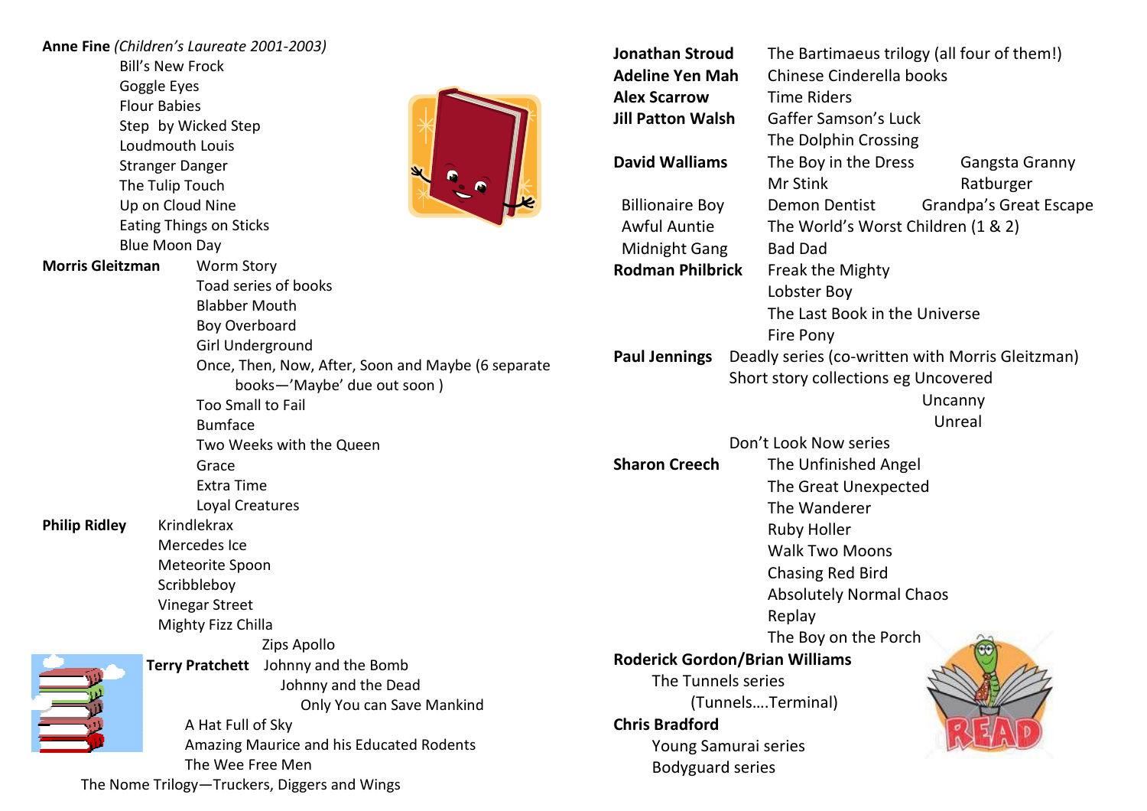| <b>Bill's New Frock</b><br><b>Adeline Yen Mah</b><br>Chinese Cinderella books<br>Goggle Eyes<br><b>Alex Scarrow</b><br><b>Time Riders</b><br><b>Flour Babies</b><br><b>Jill Patton Walsh</b><br><b>Gaffer Samson's Luck</b><br>Step by Wicked Step<br>The Dolphin Crossing<br>Loudmouth Louis<br>The Boy in the Dress<br><b>David Walliams</b><br>Gangsta Granny<br><b>Stranger Danger</b><br>Mr Stink<br>Ratburger<br>The Tulip Touch<br><b>Grandpa's Great Escape</b><br>Up on Cloud Nine<br><b>Billionaire Boy</b><br>Demon Dentist<br><b>Eating Things on Sticks</b><br><b>Awful Auntie</b><br>The World's Worst Children (1 & 2)<br><b>Blue Moon Day</b><br><b>Midnight Gang</b><br><b>Bad Dad</b><br><b>Morris Gleitzman</b><br><b>Worm Story</b><br><b>Rodman Philbrick</b><br>Freak the Mighty<br>Toad series of books<br>Lobster Boy<br><b>Blabber Mouth</b><br>The Last Book in the Universe<br>Boy Overboard<br><b>Fire Pony</b><br>Girl Underground<br>Deadly series (co-written with Morris Gleitzman)<br><b>Paul Jennings</b><br>Once, Then, Now, After, Soon and Maybe (6 separate<br>Short story collections eg Uncovered<br>books-'Maybe' due out soon)<br>Uncanny<br>Too Small to Fail<br>Unreal<br><b>Bumface</b><br>Don't Look Now series<br>Two Weeks with the Queen<br><b>Sharon Creech</b><br>The Unfinished Angel<br>Grace<br><b>Extra Time</b><br>The Great Unexpected<br>Loyal Creatures<br>The Wanderer<br><b>Philip Ridley</b><br>Krindlekrax<br><b>Ruby Holler</b><br>Mercedes Ice<br><b>Walk Two Moons</b><br>Meteorite Spoon<br><b>Chasing Red Bird</b><br>Scribbleboy<br><b>Absolutely Normal Chaos</b><br><b>Vinegar Street</b><br>Replay<br>Mighty Fizz Chilla<br>The Boy on the Porch<br>Zips Apollo<br><b>Roderick Gordon/Brian Williams</b><br>Terry Pratchett Johnny and the Bomb<br>The Tunnels series<br>Johnny and the Dead<br>(TunnelsTerminal)<br>Only You can Save Mankind<br><b>Chris Bradford</b><br>A Hat Full of Sky<br>Amazing Maurice and his Educated Rodents<br>Young Samurai series | Anne Fine (Children's Laureate 2001-2003) |                  | <b>Jonathan Stroud</b> | The Bartimaeus trilogy (all four of them!) |  |
|------------------------------------------------------------------------------------------------------------------------------------------------------------------------------------------------------------------------------------------------------------------------------------------------------------------------------------------------------------------------------------------------------------------------------------------------------------------------------------------------------------------------------------------------------------------------------------------------------------------------------------------------------------------------------------------------------------------------------------------------------------------------------------------------------------------------------------------------------------------------------------------------------------------------------------------------------------------------------------------------------------------------------------------------------------------------------------------------------------------------------------------------------------------------------------------------------------------------------------------------------------------------------------------------------------------------------------------------------------------------------------------------------------------------------------------------------------------------------------------------------------------------------------------------------------------------------------------------------------------------------------------------------------------------------------------------------------------------------------------------------------------------------------------------------------------------------------------------------------------------------------------------------------------------------------------------------------------------------------------------------------------------------------------|-------------------------------------------|------------------|------------------------|--------------------------------------------|--|
|                                                                                                                                                                                                                                                                                                                                                                                                                                                                                                                                                                                                                                                                                                                                                                                                                                                                                                                                                                                                                                                                                                                                                                                                                                                                                                                                                                                                                                                                                                                                                                                                                                                                                                                                                                                                                                                                                                                                                                                                                                          |                                           |                  |                        |                                            |  |
|                                                                                                                                                                                                                                                                                                                                                                                                                                                                                                                                                                                                                                                                                                                                                                                                                                                                                                                                                                                                                                                                                                                                                                                                                                                                                                                                                                                                                                                                                                                                                                                                                                                                                                                                                                                                                                                                                                                                                                                                                                          |                                           |                  |                        |                                            |  |
|                                                                                                                                                                                                                                                                                                                                                                                                                                                                                                                                                                                                                                                                                                                                                                                                                                                                                                                                                                                                                                                                                                                                                                                                                                                                                                                                                                                                                                                                                                                                                                                                                                                                                                                                                                                                                                                                                                                                                                                                                                          |                                           |                  |                        |                                            |  |
|                                                                                                                                                                                                                                                                                                                                                                                                                                                                                                                                                                                                                                                                                                                                                                                                                                                                                                                                                                                                                                                                                                                                                                                                                                                                                                                                                                                                                                                                                                                                                                                                                                                                                                                                                                                                                                                                                                                                                                                                                                          |                                           |                  |                        |                                            |  |
|                                                                                                                                                                                                                                                                                                                                                                                                                                                                                                                                                                                                                                                                                                                                                                                                                                                                                                                                                                                                                                                                                                                                                                                                                                                                                                                                                                                                                                                                                                                                                                                                                                                                                                                                                                                                                                                                                                                                                                                                                                          |                                           |                  |                        |                                            |  |
|                                                                                                                                                                                                                                                                                                                                                                                                                                                                                                                                                                                                                                                                                                                                                                                                                                                                                                                                                                                                                                                                                                                                                                                                                                                                                                                                                                                                                                                                                                                                                                                                                                                                                                                                                                                                                                                                                                                                                                                                                                          |                                           |                  |                        |                                            |  |
|                                                                                                                                                                                                                                                                                                                                                                                                                                                                                                                                                                                                                                                                                                                                                                                                                                                                                                                                                                                                                                                                                                                                                                                                                                                                                                                                                                                                                                                                                                                                                                                                                                                                                                                                                                                                                                                                                                                                                                                                                                          |                                           |                  |                        |                                            |  |
|                                                                                                                                                                                                                                                                                                                                                                                                                                                                                                                                                                                                                                                                                                                                                                                                                                                                                                                                                                                                                                                                                                                                                                                                                                                                                                                                                                                                                                                                                                                                                                                                                                                                                                                                                                                                                                                                                                                                                                                                                                          |                                           |                  |                        |                                            |  |
|                                                                                                                                                                                                                                                                                                                                                                                                                                                                                                                                                                                                                                                                                                                                                                                                                                                                                                                                                                                                                                                                                                                                                                                                                                                                                                                                                                                                                                                                                                                                                                                                                                                                                                                                                                                                                                                                                                                                                                                                                                          |                                           |                  |                        |                                            |  |
|                                                                                                                                                                                                                                                                                                                                                                                                                                                                                                                                                                                                                                                                                                                                                                                                                                                                                                                                                                                                                                                                                                                                                                                                                                                                                                                                                                                                                                                                                                                                                                                                                                                                                                                                                                                                                                                                                                                                                                                                                                          |                                           |                  |                        |                                            |  |
|                                                                                                                                                                                                                                                                                                                                                                                                                                                                                                                                                                                                                                                                                                                                                                                                                                                                                                                                                                                                                                                                                                                                                                                                                                                                                                                                                                                                                                                                                                                                                                                                                                                                                                                                                                                                                                                                                                                                                                                                                                          |                                           |                  |                        |                                            |  |
|                                                                                                                                                                                                                                                                                                                                                                                                                                                                                                                                                                                                                                                                                                                                                                                                                                                                                                                                                                                                                                                                                                                                                                                                                                                                                                                                                                                                                                                                                                                                                                                                                                                                                                                                                                                                                                                                                                                                                                                                                                          |                                           |                  |                        |                                            |  |
|                                                                                                                                                                                                                                                                                                                                                                                                                                                                                                                                                                                                                                                                                                                                                                                                                                                                                                                                                                                                                                                                                                                                                                                                                                                                                                                                                                                                                                                                                                                                                                                                                                                                                                                                                                                                                                                                                                                                                                                                                                          |                                           |                  |                        |                                            |  |
|                                                                                                                                                                                                                                                                                                                                                                                                                                                                                                                                                                                                                                                                                                                                                                                                                                                                                                                                                                                                                                                                                                                                                                                                                                                                                                                                                                                                                                                                                                                                                                                                                                                                                                                                                                                                                                                                                                                                                                                                                                          |                                           |                  |                        |                                            |  |
|                                                                                                                                                                                                                                                                                                                                                                                                                                                                                                                                                                                                                                                                                                                                                                                                                                                                                                                                                                                                                                                                                                                                                                                                                                                                                                                                                                                                                                                                                                                                                                                                                                                                                                                                                                                                                                                                                                                                                                                                                                          |                                           |                  |                        |                                            |  |
|                                                                                                                                                                                                                                                                                                                                                                                                                                                                                                                                                                                                                                                                                                                                                                                                                                                                                                                                                                                                                                                                                                                                                                                                                                                                                                                                                                                                                                                                                                                                                                                                                                                                                                                                                                                                                                                                                                                                                                                                                                          |                                           |                  |                        |                                            |  |
|                                                                                                                                                                                                                                                                                                                                                                                                                                                                                                                                                                                                                                                                                                                                                                                                                                                                                                                                                                                                                                                                                                                                                                                                                                                                                                                                                                                                                                                                                                                                                                                                                                                                                                                                                                                                                                                                                                                                                                                                                                          |                                           |                  |                        |                                            |  |
|                                                                                                                                                                                                                                                                                                                                                                                                                                                                                                                                                                                                                                                                                                                                                                                                                                                                                                                                                                                                                                                                                                                                                                                                                                                                                                                                                                                                                                                                                                                                                                                                                                                                                                                                                                                                                                                                                                                                                                                                                                          |                                           |                  |                        |                                            |  |
|                                                                                                                                                                                                                                                                                                                                                                                                                                                                                                                                                                                                                                                                                                                                                                                                                                                                                                                                                                                                                                                                                                                                                                                                                                                                                                                                                                                                                                                                                                                                                                                                                                                                                                                                                                                                                                                                                                                                                                                                                                          |                                           |                  |                        |                                            |  |
|                                                                                                                                                                                                                                                                                                                                                                                                                                                                                                                                                                                                                                                                                                                                                                                                                                                                                                                                                                                                                                                                                                                                                                                                                                                                                                                                                                                                                                                                                                                                                                                                                                                                                                                                                                                                                                                                                                                                                                                                                                          |                                           |                  |                        |                                            |  |
|                                                                                                                                                                                                                                                                                                                                                                                                                                                                                                                                                                                                                                                                                                                                                                                                                                                                                                                                                                                                                                                                                                                                                                                                                                                                                                                                                                                                                                                                                                                                                                                                                                                                                                                                                                                                                                                                                                                                                                                                                                          |                                           |                  |                        |                                            |  |
|                                                                                                                                                                                                                                                                                                                                                                                                                                                                                                                                                                                                                                                                                                                                                                                                                                                                                                                                                                                                                                                                                                                                                                                                                                                                                                                                                                                                                                                                                                                                                                                                                                                                                                                                                                                                                                                                                                                                                                                                                                          |                                           |                  |                        |                                            |  |
|                                                                                                                                                                                                                                                                                                                                                                                                                                                                                                                                                                                                                                                                                                                                                                                                                                                                                                                                                                                                                                                                                                                                                                                                                                                                                                                                                                                                                                                                                                                                                                                                                                                                                                                                                                                                                                                                                                                                                                                                                                          |                                           |                  |                        |                                            |  |
|                                                                                                                                                                                                                                                                                                                                                                                                                                                                                                                                                                                                                                                                                                                                                                                                                                                                                                                                                                                                                                                                                                                                                                                                                                                                                                                                                                                                                                                                                                                                                                                                                                                                                                                                                                                                                                                                                                                                                                                                                                          |                                           |                  |                        |                                            |  |
|                                                                                                                                                                                                                                                                                                                                                                                                                                                                                                                                                                                                                                                                                                                                                                                                                                                                                                                                                                                                                                                                                                                                                                                                                                                                                                                                                                                                                                                                                                                                                                                                                                                                                                                                                                                                                                                                                                                                                                                                                                          |                                           |                  |                        |                                            |  |
|                                                                                                                                                                                                                                                                                                                                                                                                                                                                                                                                                                                                                                                                                                                                                                                                                                                                                                                                                                                                                                                                                                                                                                                                                                                                                                                                                                                                                                                                                                                                                                                                                                                                                                                                                                                                                                                                                                                                                                                                                                          |                                           |                  |                        |                                            |  |
|                                                                                                                                                                                                                                                                                                                                                                                                                                                                                                                                                                                                                                                                                                                                                                                                                                                                                                                                                                                                                                                                                                                                                                                                                                                                                                                                                                                                                                                                                                                                                                                                                                                                                                                                                                                                                                                                                                                                                                                                                                          |                                           |                  |                        |                                            |  |
|                                                                                                                                                                                                                                                                                                                                                                                                                                                                                                                                                                                                                                                                                                                                                                                                                                                                                                                                                                                                                                                                                                                                                                                                                                                                                                                                                                                                                                                                                                                                                                                                                                                                                                                                                                                                                                                                                                                                                                                                                                          |                                           |                  |                        |                                            |  |
|                                                                                                                                                                                                                                                                                                                                                                                                                                                                                                                                                                                                                                                                                                                                                                                                                                                                                                                                                                                                                                                                                                                                                                                                                                                                                                                                                                                                                                                                                                                                                                                                                                                                                                                                                                                                                                                                                                                                                                                                                                          |                                           |                  |                        |                                            |  |
|                                                                                                                                                                                                                                                                                                                                                                                                                                                                                                                                                                                                                                                                                                                                                                                                                                                                                                                                                                                                                                                                                                                                                                                                                                                                                                                                                                                                                                                                                                                                                                                                                                                                                                                                                                                                                                                                                                                                                                                                                                          |                                           |                  |                        |                                            |  |
|                                                                                                                                                                                                                                                                                                                                                                                                                                                                                                                                                                                                                                                                                                                                                                                                                                                                                                                                                                                                                                                                                                                                                                                                                                                                                                                                                                                                                                                                                                                                                                                                                                                                                                                                                                                                                                                                                                                                                                                                                                          |                                           |                  |                        |                                            |  |
|                                                                                                                                                                                                                                                                                                                                                                                                                                                                                                                                                                                                                                                                                                                                                                                                                                                                                                                                                                                                                                                                                                                                                                                                                                                                                                                                                                                                                                                                                                                                                                                                                                                                                                                                                                                                                                                                                                                                                                                                                                          |                                           |                  |                        |                                            |  |
|                                                                                                                                                                                                                                                                                                                                                                                                                                                                                                                                                                                                                                                                                                                                                                                                                                                                                                                                                                                                                                                                                                                                                                                                                                                                                                                                                                                                                                                                                                                                                                                                                                                                                                                                                                                                                                                                                                                                                                                                                                          |                                           |                  |                        |                                            |  |
|                                                                                                                                                                                                                                                                                                                                                                                                                                                                                                                                                                                                                                                                                                                                                                                                                                                                                                                                                                                                                                                                                                                                                                                                                                                                                                                                                                                                                                                                                                                                                                                                                                                                                                                                                                                                                                                                                                                                                                                                                                          |                                           |                  |                        |                                            |  |
|                                                                                                                                                                                                                                                                                                                                                                                                                                                                                                                                                                                                                                                                                                                                                                                                                                                                                                                                                                                                                                                                                                                                                                                                                                                                                                                                                                                                                                                                                                                                                                                                                                                                                                                                                                                                                                                                                                                                                                                                                                          |                                           | The Wee Free Men |                        |                                            |  |
| <b>Bodyguard series</b><br>The Nome Trilogy-Truckers, Diggers and Wings                                                                                                                                                                                                                                                                                                                                                                                                                                                                                                                                                                                                                                                                                                                                                                                                                                                                                                                                                                                                                                                                                                                                                                                                                                                                                                                                                                                                                                                                                                                                                                                                                                                                                                                                                                                                                                                                                                                                                                  |                                           |                  |                        |                                            |  |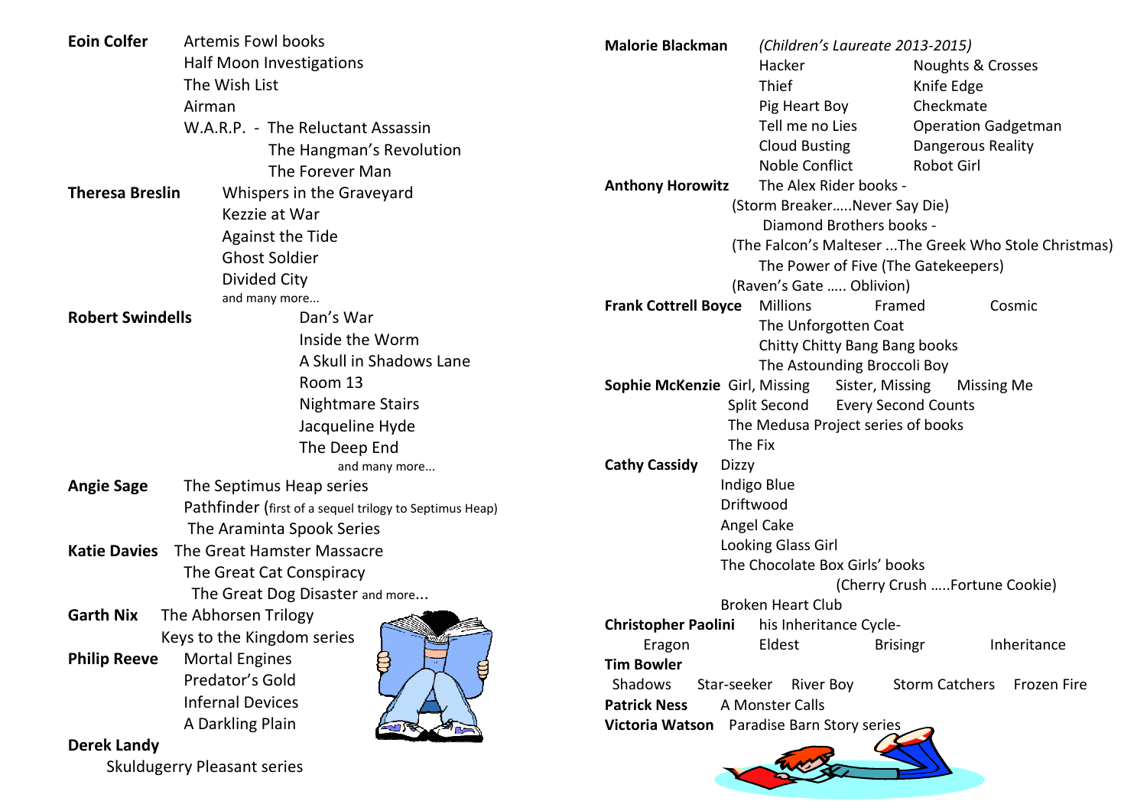| <b>Eoin Colfer</b>                       | <b>Artemis Fowl books</b>                               | <b>Malorie Blackman</b>                                                           | (Children's Laureate 2013-2015)                               |  |  |
|------------------------------------------|---------------------------------------------------------|-----------------------------------------------------------------------------------|---------------------------------------------------------------|--|--|
|                                          | Half Moon Investigations                                |                                                                                   | Hacker<br>Noughts & Crosses                                   |  |  |
| The Wish List                            |                                                         |                                                                                   | Thief<br>Knife Edge                                           |  |  |
|                                          | Airman                                                  |                                                                                   | Checkmate<br>Pig Heart Boy                                    |  |  |
|                                          | W.A.R.P. - The Reluctant Assassin                       |                                                                                   | Tell me no Lies<br><b>Operation Gadgetman</b>                 |  |  |
|                                          | The Hangman's Revolution                                |                                                                                   | <b>Cloud Busting</b><br>Dangerous Reality                     |  |  |
|                                          | The Forever Man                                         |                                                                                   | Noble Conflict<br><b>Robot Girl</b>                           |  |  |
| <b>Theresa Breslin</b>                   | Whispers in the Graveyard                               | <b>Anthony Horowitz</b>                                                           | The Alex Rider books -                                        |  |  |
|                                          | Kezzie at War                                           | (Storm BreakerNever Say Die)                                                      |                                                               |  |  |
|                                          | <b>Against the Tide</b>                                 | Diamond Brothers books -<br>(The Falcon's Malteser The Greek Who Stole Christmas) |                                                               |  |  |
|                                          | <b>Ghost Soldier</b>                                    |                                                                                   |                                                               |  |  |
|                                          | <b>Divided City</b>                                     |                                                                                   | The Power of Five (The Gatekeepers)                           |  |  |
|                                          | and many more                                           |                                                                                   | (Raven's Gate  Oblivion)<br><b>Millions</b>                   |  |  |
| <b>Robert Swindells</b>                  | Dan's War                                               | <b>Frank Cottrell Boyce</b>                                                       | Framed<br>Cosmic                                              |  |  |
|                                          | Inside the Worm                                         | The Unforgotten Coat<br>Chitty Chitty Bang Bang books                             |                                                               |  |  |
|                                          | A Skull in Shadows Lane                                 |                                                                                   | The Astounding Broccoli Boy                                   |  |  |
|                                          | Room 13                                                 | <b>Sophie McKenzie Girl, Missing</b>                                              | Sister, Missing<br><b>Missing Me</b>                          |  |  |
|                                          | <b>Nightmare Stairs</b>                                 |                                                                                   | Split Second<br><b>Every Second Counts</b>                    |  |  |
|                                          | Jacqueline Hyde                                         | The Medusa Project series of books                                                |                                                               |  |  |
| The Deep End                             |                                                         |                                                                                   | The Fix                                                       |  |  |
|                                          | and many more                                           | <b>Cathy Cassidy</b><br><b>Dizzy</b>                                              |                                                               |  |  |
| <b>Angie Sage</b>                        | The Septimus Heap series                                |                                                                                   | Indigo Blue                                                   |  |  |
|                                          | Pathfinder (first of a sequel trilogy to Septimus Heap) |                                                                                   | Driftwood                                                     |  |  |
|                                          | The Araminta Spook Series                               |                                                                                   | Angel Cake                                                    |  |  |
| <b>Katie Davies</b>                      | The Great Hamster Massacre                              |                                                                                   | Looking Glass Girl                                            |  |  |
| The Great Cat Conspiracy                 |                                                         |                                                                                   | The Chocolate Box Girls' books                                |  |  |
|                                          | The Great Dog Disaster and more                         |                                                                                   | (Cherry Crush Fortune Cookie)                                 |  |  |
| <b>Garth Nix</b><br>The Abhorsen Trilogy |                                                         |                                                                                   | <b>Broken Heart Club</b>                                      |  |  |
|                                          | Keys to the Kingdom series                              | <b>Christopher Paolini</b>                                                        | his Inheritance Cycle-                                        |  |  |
| <b>Philip Reeve</b>                      | 8<br><b>Mortal Engines</b>                              | Eragon<br><b>Tim Bowler</b>                                                       | Eldest<br><b>Brisingr</b><br>Inheritance                      |  |  |
| g<br>Predator's Gold                     |                                                         | Shadows                                                                           | Star-seeker River Boy<br><b>Storm Catchers</b><br>Frozen Fire |  |  |
| <b>Infernal Devices</b>                  |                                                         | <b>Patrick Ness</b>                                                               | A Monster Calls                                               |  |  |
|                                          | A Darkling Plain                                        | Victoria Watson                                                                   | Paradise Barn Story series                                    |  |  |
| <b>Derek Landy</b>                       |                                                         |                                                                                   |                                                               |  |  |
| <b>Skuldugerry Pleasant series</b>       |                                                         |                                                                                   |                                                               |  |  |
|                                          |                                                         |                                                                                   |                                                               |  |  |